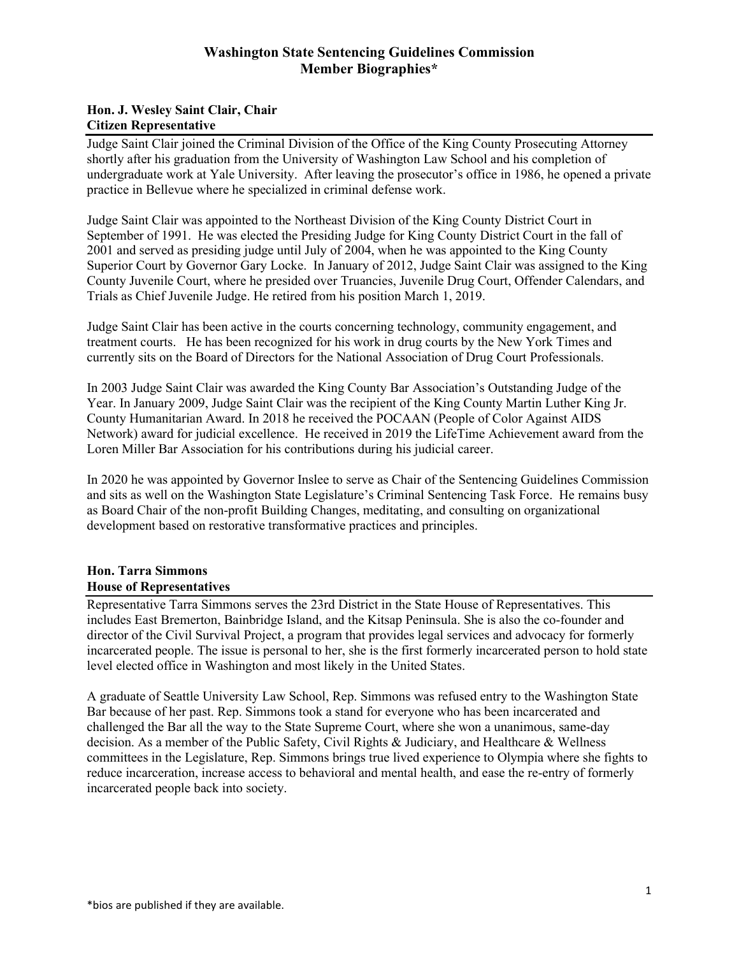## **Hon. J. Wesley Saint Clair, Chair Citizen Representative**

Judge Saint Clair joined the Criminal Division of the Office of the King County Prosecuting Attorney shortly after his graduation from the University of Washington Law School and his completion of undergraduate work at Yale University. After leaving the prosecutor's office in 1986, he opened a private practice in Bellevue where he specialized in criminal defense work.

Judge Saint Clair was appointed to the Northeast Division of the King County District Court in September of 1991. He was elected the Presiding Judge for King County District Court in the fall of 2001 and served as presiding judge until July of 2004, when he was appointed to the King County Superior Court by Governor Gary Locke. In January of 2012, Judge Saint Clair was assigned to the King County Juvenile Court, where he presided over Truancies, Juvenile Drug Court, Offender Calendars, and Trials as Chief Juvenile Judge. He retired from his position March 1, 2019.

Judge Saint Clair has been active in the courts concerning technology, community engagement, and treatment courts. He has been recognized for his work in drug courts by the New York Times and currently sits on the Board of Directors for the National Association of Drug Court Professionals.

In 2003 Judge Saint Clair was awarded the King County Bar Association's Outstanding Judge of the Year. In January 2009, Judge Saint Clair was the recipient of the King County Martin Luther King Jr. County Humanitarian Award. In 2018 he received the POCAAN (People of Color Against AIDS Network) award for judicial excellence. He received in 2019 the LifeTime Achievement award from the Loren Miller Bar Association for his contributions during his judicial career.

In 2020 he was appointed by Governor Inslee to serve as Chair of the Sentencing Guidelines Commission and sits as well on the Washington State Legislature's Criminal Sentencing Task Force. He remains busy as Board Chair of the non-profit Building Changes, meditating, and consulting on organizational development based on restorative transformative practices and principles.

### **Hon. Tarra Simmons House of Representatives**

Representative Tarra Simmons serves the 23rd District in the State House of Representatives. This includes East Bremerton, Bainbridge Island, and the Kitsap Peninsula. She is also the co-founder and director of the Civil Survival Project, a program that provides legal services and advocacy for formerly incarcerated people. The issue is personal to her, she is the first formerly incarcerated person to hold state level elected office in Washington and most likely in the United States.

A graduate of Seattle University Law School, Rep. Simmons was refused entry to the Washington State Bar because of her past. Rep. Simmons took a stand for everyone who has been incarcerated and challenged the Bar all the way to the State Supreme Court, where she won a unanimous, same-day decision. As a member of the Public Safety, Civil Rights & Judiciary, and Healthcare & Wellness committees in the Legislature, Rep. Simmons brings true lived experience to Olympia where she fights to reduce incarceration, increase access to behavioral and mental health, and ease the re-entry of formerly incarcerated people back into society.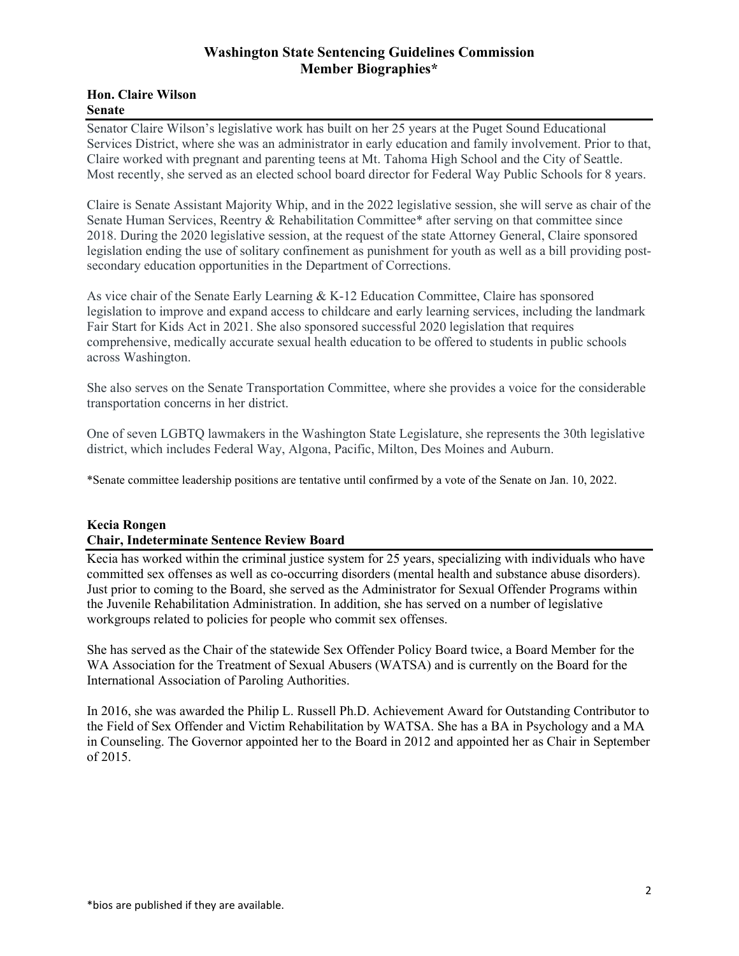#### **Hon. Claire Wilson Senate**

Senator Claire Wilson's legislative work has built on her 25 years at the Puget Sound Educational Services District, where she was an administrator in early education and family involvement. Prior to that, Claire worked with pregnant and parenting teens at Mt. Tahoma High School and the City of Seattle. Most recently, she served as an elected school board director for Federal Way Public Schools for 8 years.

Claire is Senate Assistant Majority Whip, and in the 2022 legislative session, she will serve as chair of the Senate Human Services, Reentry & Rehabilitation Committee\* after serving on that committee since 2018. During the 2020 legislative session, at the request of the state Attorney General, Claire sponsored legislation ending the use of solitary confinement as punishment for youth as well as a bill providing postsecondary education opportunities in the Department of Corrections.

As vice chair of the Senate Early Learning & K-12 Education Committee, Claire has sponsored legislation to improve and expand access to childcare and early learning services, including the landmark Fair Start for Kids Act in 2021. She also sponsored successful 2020 legislation that requires comprehensive, medically accurate sexual health education to be offered to students in public schools across Washington.

She also serves on the Senate Transportation Committee, where she provides a voice for the considerable transportation concerns in her district.

One of seven LGBTQ lawmakers in the Washington State Legislature, she represents the 30th legislative district, which includes Federal Way, Algona, Pacific, Milton, Des Moines and Auburn.

\*Senate committee leadership positions are tentative until confirmed by a vote of the Senate on Jan. 10, 2022.

#### **Kecia Rongen**

#### **Chair, Indeterminate Sentence Review Board**

Kecia has worked within the criminal justice system for 25 years, specializing with individuals who have committed sex offenses as well as co-occurring disorders (mental health and substance abuse disorders). Just prior to coming to the Board, she served as the Administrator for Sexual Offender Programs within the Juvenile Rehabilitation Administration. In addition, she has served on a number of legislative workgroups related to policies for people who commit sex offenses.

She has served as the Chair of the statewide Sex Offender Policy Board twice, a Board Member for the WA Association for the Treatment of Sexual Abusers (WATSA) and is currently on the Board for the International Association of Paroling Authorities.

In 2016, she was awarded the Philip L. Russell Ph.D. Achievement Award for Outstanding Contributor to the Field of Sex Offender and Victim Rehabilitation by WATSA. She has a BA in Psychology and a MA in Counseling. The Governor appointed her to the Board in 2012 and appointed her as Chair in September of 2015.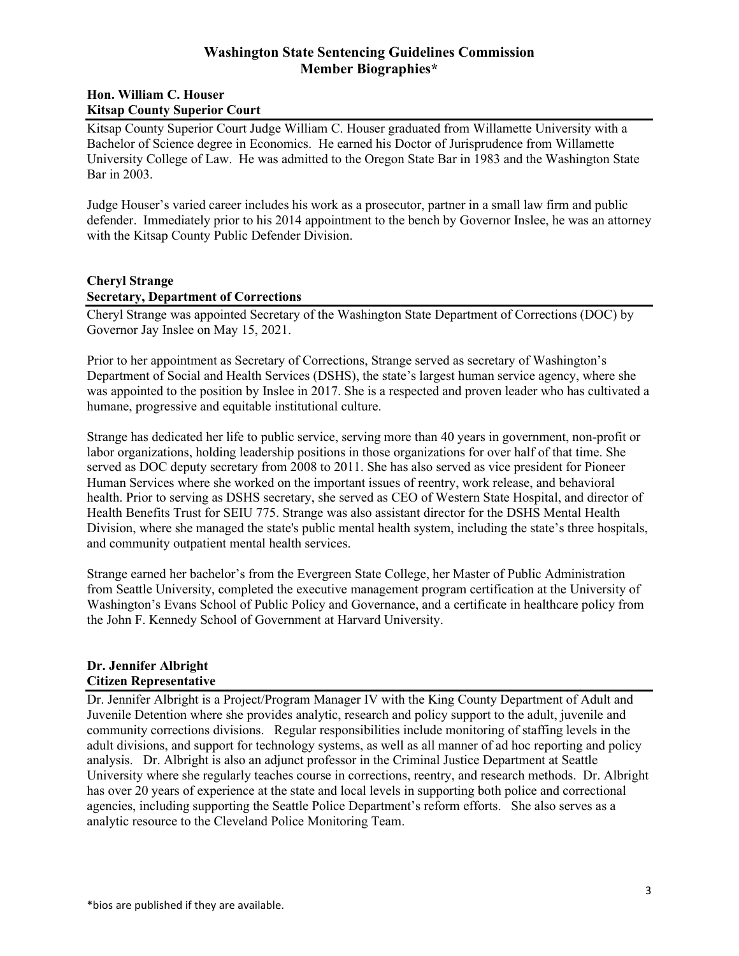#### **Hon. William C. Houser Kitsap County Superior Court**

Kitsap County Superior Court Judge William C. Houser graduated from Willamette University with a Bachelor of Science degree in Economics. He earned his Doctor of Jurisprudence from Willamette University College of Law. He was admitted to the Oregon State Bar in 1983 and the Washington State Bar in 2003.

Judge Houser's varied career includes his work as a prosecutor, partner in a small law firm and public defender. Immediately prior to his 2014 appointment to the bench by Governor Inslee, he was an attorney with the Kitsap County Public Defender Division.

### **Cheryl Strange**

#### **Secretary, Department of Corrections**

Cheryl Strange was appointed Secretary of the Washington State Department of Corrections (DOC) by Governor Jay Inslee on May 15, 2021.

Prior to her appointment as Secretary of Corrections, Strange served as secretary of Washington's Department of Social and Health Services (DSHS), the state's largest human service agency, where she was appointed to the position by Inslee in 2017. She is a respected and proven leader who has cultivated a humane, progressive and equitable institutional culture.

Strange has dedicated her life to public service, serving more than 40 years in government, non-profit or labor organizations, holding leadership positions in those organizations for over half of that time. She served as DOC deputy secretary from 2008 to 2011. She has also served as vice president for Pioneer Human Services where she worked on the important issues of reentry, work release, and behavioral health. Prior to serving as DSHS secretary, she served as CEO of Western State Hospital, and director of Health Benefits Trust for SEIU 775. Strange was also assistant director for the DSHS Mental Health Division, where she managed the state's public mental health system, including the state's three hospitals, and community outpatient mental health services.

Strange earned her bachelor's from the Evergreen State College, her Master of Public Administration from Seattle University, completed the executive management program certification at the University of Washington's Evans School of Public Policy and Governance, and a certificate in healthcare policy from the John F. Kennedy School of Government at Harvard University.

### **Dr. Jennifer Albright Citizen Representative**

Dr. Jennifer Albright is a Project/Program Manager IV with the King County Department of Adult and Juvenile Detention where she provides analytic, research and policy support to the adult, juvenile and community corrections divisions. Regular responsibilities include monitoring of staffing levels in the adult divisions, and support for technology systems, as well as all manner of ad hoc reporting and policy analysis. Dr. Albright is also an adjunct professor in the Criminal Justice Department at Seattle University where she regularly teaches course in corrections, reentry, and research methods. Dr. Albright has over 20 years of experience at the state and local levels in supporting both police and correctional agencies, including supporting the Seattle Police Department's reform efforts. She also serves as a analytic resource to the Cleveland Police Monitoring Team.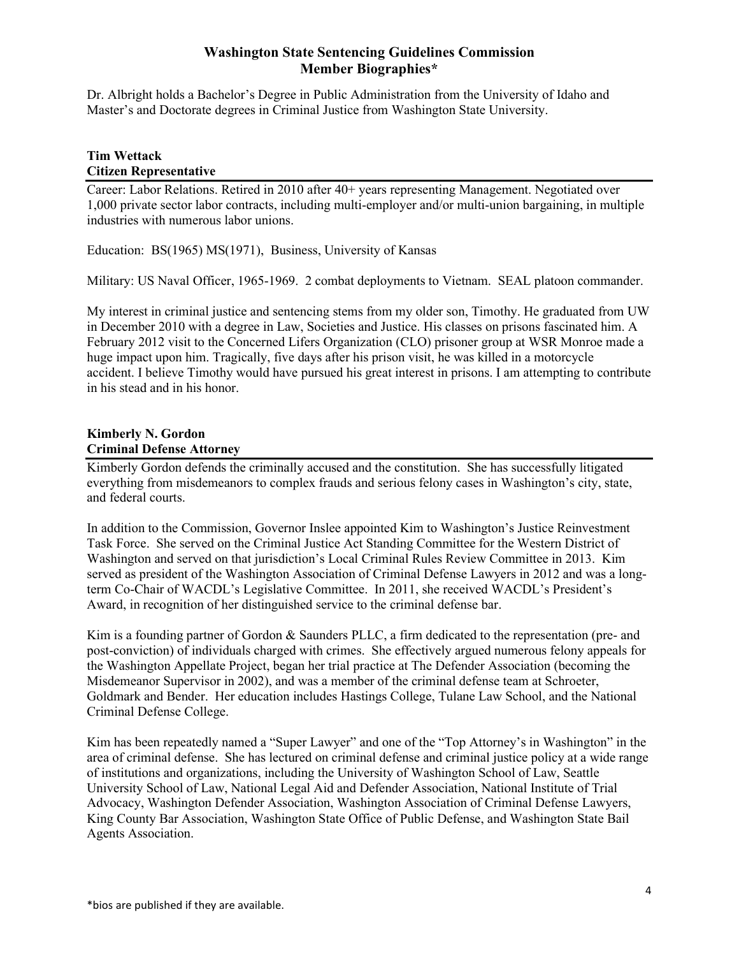Dr. Albright holds a Bachelor's Degree in Public Administration from the University of Idaho and Master's and Doctorate degrees in Criminal Justice from Washington State University.

## **Tim Wettack Citizen Representative**

Career: Labor Relations. Retired in 2010 after 40+ years representing Management. Negotiated over 1,000 private sector labor contracts, including multi-employer and/or multi-union bargaining, in multiple industries with numerous labor unions.

Education: BS(1965) MS(1971), Business, University of Kansas

Military: US Naval Officer, 1965-1969. 2 combat deployments to Vietnam. SEAL platoon commander.

My interest in criminal justice and sentencing stems from my older son, Timothy. He graduated from UW in December 2010 with a degree in Law, Societies and Justice. His classes on prisons fascinated him. A February 2012 visit to the Concerned Lifers Organization (CLO) prisoner group at WSR Monroe made a huge impact upon him. Tragically, five days after his prison visit, he was killed in a motorcycle accident. I believe Timothy would have pursued his great interest in prisons. I am attempting to contribute in his stead and in his honor.

#### **Kimberly N. Gordon Criminal Defense Attorney**

Kimberly Gordon defends the criminally accused and the constitution. She has successfully litigated everything from misdemeanors to complex frauds and serious felony cases in Washington's city, state, and federal courts.

In addition to the Commission, Governor Inslee appointed Kim to Washington's Justice Reinvestment Task Force. She served on the Criminal Justice Act Standing Committee for the Western District of Washington and served on that jurisdiction's Local Criminal Rules Review Committee in 2013. Kim served as president of the Washington Association of Criminal Defense Lawyers in 2012 and was a longterm Co-Chair of WACDL's Legislative Committee. In 2011, she received WACDL's President's Award, in recognition of her distinguished service to the criminal defense bar.

Kim is a founding partner of Gordon & Saunders PLLC, a firm dedicated to the representation (pre- and post-conviction) of individuals charged with crimes. She effectively argued numerous felony appeals for the Washington Appellate Project, began her trial practice at The Defender Association (becoming the Misdemeanor Supervisor in 2002), and was a member of the criminal defense team at Schroeter, Goldmark and Bender. Her education includes Hastings College, Tulane Law School, and the National Criminal Defense College.

Kim has been repeatedly named a "Super Lawyer" and one of the "Top Attorney's in Washington" in the area of criminal defense. She has lectured on criminal defense and criminal justice policy at a wide range of institutions and organizations, including the University of Washington School of Law, Seattle University School of Law, National Legal Aid and Defender Association, National Institute of Trial Advocacy, Washington Defender Association, Washington Association of Criminal Defense Lawyers, King County Bar Association, Washington State Office of Public Defense, and Washington State Bail Agents Association.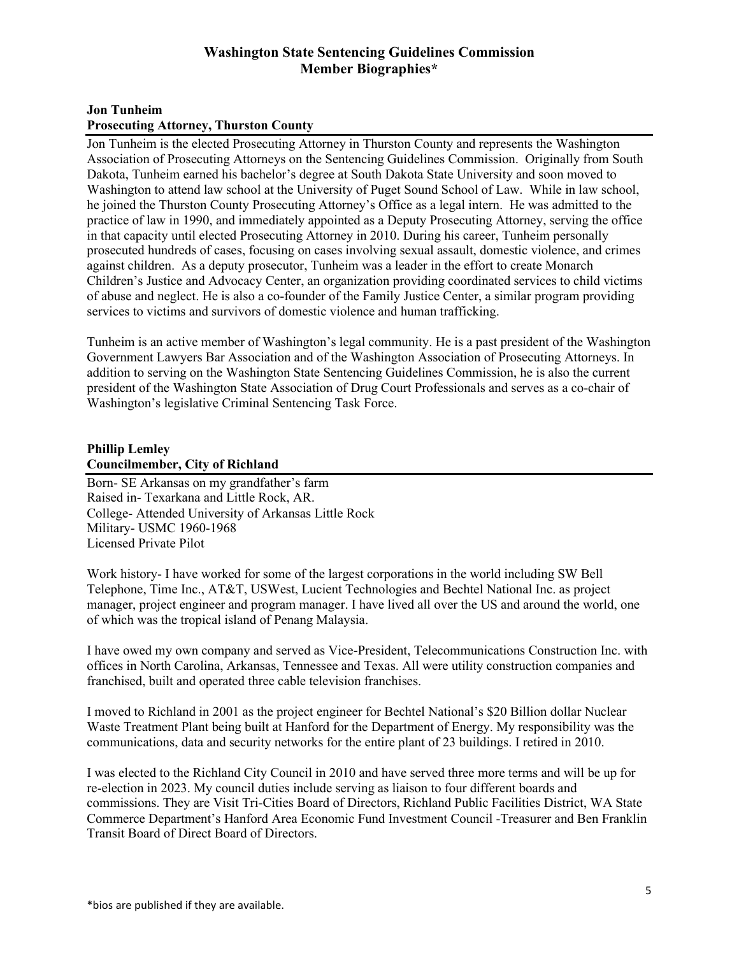#### **Jon Tunheim**

### **Prosecuting Attorney, Thurston County**

Jon Tunheim is the elected Prosecuting Attorney in Thurston County and represents the Washington Association of Prosecuting Attorneys on the Sentencing Guidelines Commission. Originally from South Dakota, Tunheim earned his bachelor's degree at South Dakota State University and soon moved to Washington to attend law school at the University of Puget Sound School of Law. While in law school, he joined the Thurston County Prosecuting Attorney's Office as a legal intern. He was admitted to the practice of law in 1990, and immediately appointed as a Deputy Prosecuting Attorney, serving the office in that capacity until elected Prosecuting Attorney in 2010. During his career, Tunheim personally prosecuted hundreds of cases, focusing on cases involving sexual assault, domestic violence, and crimes against children. As a deputy prosecutor, Tunheim was a leader in the effort to create Monarch Children's Justice and Advocacy Center, an organization providing coordinated services to child victims of abuse and neglect. He is also a co-founder of the Family Justice Center, a similar program providing services to victims and survivors of domestic violence and human trafficking.

Tunheim is an active member of Washington's legal community. He is a past president of the Washington Government Lawyers Bar Association and of the Washington Association of Prosecuting Attorneys. In addition to serving on the Washington State Sentencing Guidelines Commission, he is also the current president of the Washington State Association of Drug Court Professionals and serves as a co-chair of Washington's legislative Criminal Sentencing Task Force.

#### **Phillip Lemley Councilmember, City of Richland**

Born- SE Arkansas on my grandfather's farm Raised in- Texarkana and Little Rock, AR. College- Attended University of Arkansas Little Rock Military- USMC 1960-1968 Licensed Private Pilot

Work history- I have worked for some of the largest corporations in the world including SW Bell Telephone, Time Inc., AT&T, USWest, Lucient Technologies and Bechtel National Inc. as project manager, project engineer and program manager. I have lived all over the US and around the world, one of which was the tropical island of Penang Malaysia.

I have owed my own company and served as Vice-President, Telecommunications Construction Inc. with offices in North Carolina, Arkansas, Tennessee and Texas. All were utility construction companies and franchised, built and operated three cable television franchises.

I moved to Richland in 2001 as the project engineer for Bechtel National's \$20 Billion dollar Nuclear Waste Treatment Plant being built at Hanford for the Department of Energy. My responsibility was the communications, data and security networks for the entire plant of 23 buildings. I retired in 2010.

I was elected to the Richland City Council in 2010 and have served three more terms and will be up for re-election in 2023. My council duties include serving as liaison to four different boards and commissions. They are Visit Tri-Cities Board of Directors, Richland Public Facilities District, WA State Commerce Department's Hanford Area Economic Fund Investment Council -Treasurer and Ben Franklin Transit Board of Direct Board of Directors.